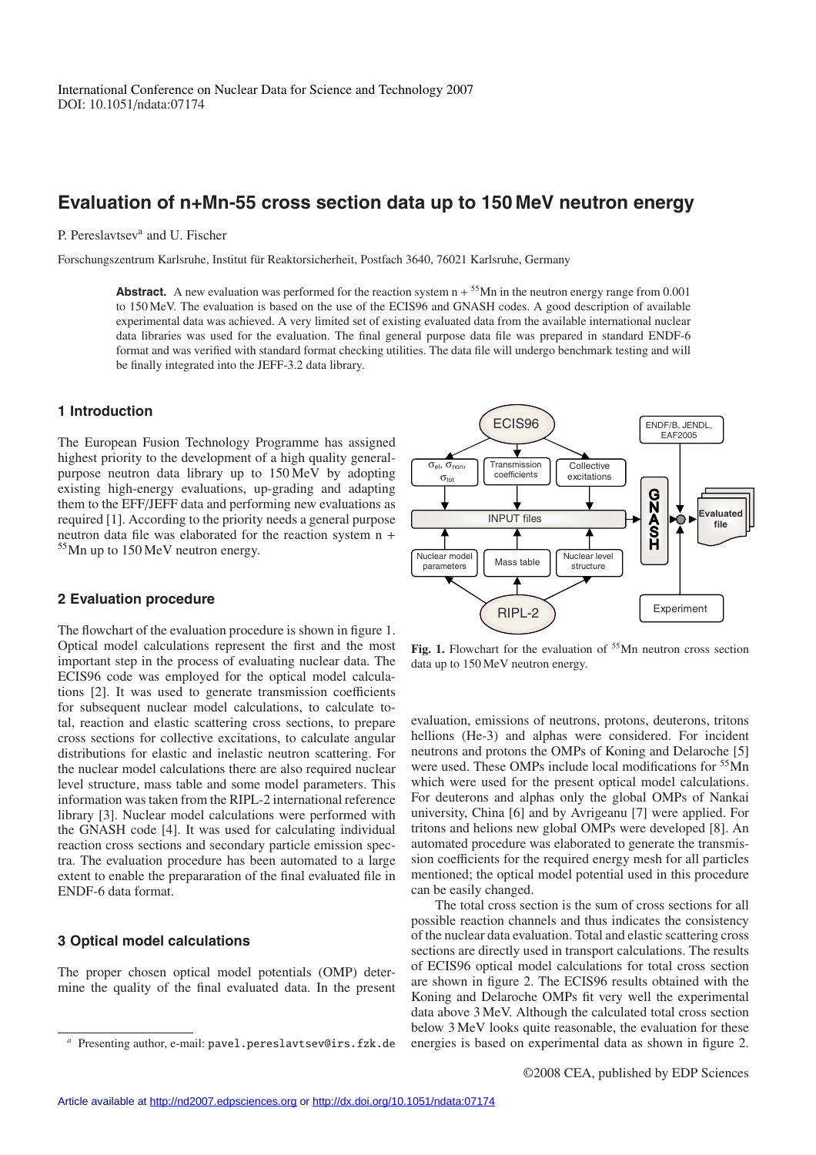# **Evaluation of n+Mn-55 cross section data up to 150 MeV neutron energy**

### P. Pereslavtsev<sup>a</sup> and U. Fischer

Forschungszentrum Karlsruhe, Institut fur Reaktorsicherheit, Postfach 3640, 76021 Karlsruhe, Germany ¨

**Abstract.** A new evaluation was performed for the reaction system  $n + \frac{55}{Mn}$  in the neutron energy range from 0.001 to 150 MeV. The evaluation is based on the use of the ECIS96 and GNASH codes. A good description of available experimental data was achieved. A very limited set of existing evaluated data from the available international nuclear data libraries was used for the evaluation. The final general purpose data file was prepared in standard ENDF-6 format and was verified with standard format checking utilities. The data file will undergo benchmark testing and will be finally integrated into the JEFF-3.2 data library.

> $σ<sub>el</sub>, σ<sub>non</sub>$  $\sigma_{\text{tot}}$

## **1 Introduction**

The European Fusion Technology Programme has assigned highest priority to the development of a high quality generalpurpose neutron data library up to 150 MeV by adopting existing high-energy evaluations, up-grading and adapting them to the EFF/JEFF data and performing new evaluations as required [1]. According to the priority needs a general purpose neutron data file was elaborated for the reaction system n + <sup>55</sup>Mn up to 150 MeV neutron energy.

## **GNASH Evaluated**  INPUT files **file**  Nuclear model  $\begin{bmatrix} \text{Quclear model} \\ \text{parameters} \end{bmatrix}$  Mass table  $\begin{bmatrix} \text{Nuclear level} \\ \text{structure} \end{bmatrix}$ structure RIPL-2 Experiment

**Collective** excitations ENDF/B, JENDL, EAF2005

ECIS96

**Transmission** coefficients

#### **2 Evaluation procedure**

The flowchart of the evaluation procedure is shown in figure 1. Optical model calculations represent the first and the most important step in the process of evaluating nuclear data. The ECIS96 code was employed for the optical model calculations [2]. It was used to generate transmission coefficients for subsequent nuclear model calculations, to calculate total, reaction and elastic scattering cross sections, to prepare cross sections for collective excitations, to calculate angular distributions for elastic and inelastic neutron scattering. For the nuclear model calculations there are also required nuclear level structure, mass table and some model parameters. This information was taken from the RIPL-2 international reference library [3]. Nuclear model calculations were performed with the GNASH code [4]. It was used for calculating individual reaction cross sections and secondary particle emission spectra. The evaluation procedure has been automated to a large extent to enable the prepararation of the final evaluated file in ENDF-6 data format.

## **3 Optical model calculations**

The proper chosen optical model potentials (OMP) determine the quality of the final evaluated data. In the present

Fig. 1. Flowchart for the evaluation of <sup>55</sup>Mn neutron cross section data up to 150 MeV neutron energy.

evaluation, emissions of neutrons, protons, deuterons, tritons hellions (He-3) and alphas were considered. For incident neutrons and protons the OMPs of Koning and Delaroche [5] were used. These OMPs include local modifications for <sup>55</sup>Mn which were used for the present optical model calculations. For deuterons and alphas only the global OMPs of Nankai university, China [6] and by Avrigeanu [7] were applied. For tritons and helions new global OMPs were developed [8]. An automated procedure was elaborated to generate the transmission coefficients for the required energy mesh for all particles mentioned; the optical model potential used in this procedure can be easily changed.

The total cross section is the sum of cross sections for all possible reaction channels and thus indicates the consistency of the nuclear data evaluation. Total and elastic scattering cross sections are directly used in transport calculations. The results of ECIS96 optical model calculations for total cross section are shown in figure 2. The ECIS96 results obtained with the Koning and Delaroche OMPs fit very well the experimental data above 3 MeV. Although the calculated total cross section below 3 MeV looks quite reasonable, the evaluation for these energies is based on experimental data as shown in figure 2.

Presenting author, e-mail: pavel.pereslavtsev@irs.fzk.de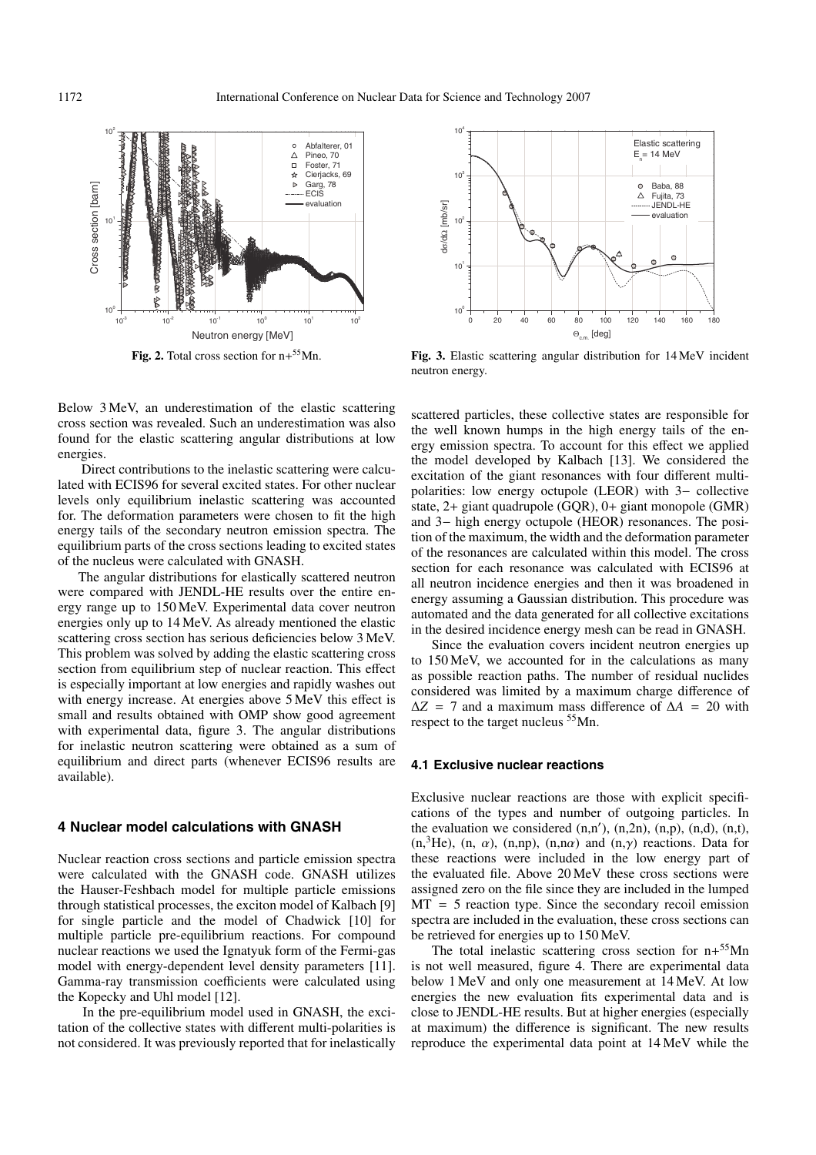

**Fig. 2.** Total cross section for n+55Mn.

Below 3 MeV, an underestimation of the elastic scattering cross section was revealed. Such an underestimation was also found for the elastic scattering angular distributions at low energies.

Direct contributions to the inelastic scattering were calculated with ECIS96 for several excited states. For other nuclear levels only equilibrium inelastic scattering was accounted for. The deformation parameters were chosen to fit the high energy tails of the secondary neutron emission spectra. The equilibrium parts of the cross sections leading to excited states of the nucleus were calculated with GNASH.

The angular distributions for elastically scattered neutron were compared with JENDL-HE results over the entire energy range up to 150 MeV. Experimental data cover neutron energies only up to 14 MeV. As already mentioned the elastic scattering cross section has serious deficiencies below 3 MeV. This problem was solved by adding the elastic scattering cross section from equilibrium step of nuclear reaction. This effect is especially important at low energies and rapidly washes out with energy increase. At energies above  $5 \text{ MeV}$  this effect is small and results obtained with OMP show good agreement with experimental data, figure 3. The angular distributions for inelastic neutron scattering were obtained as a sum of equilibrium and direct parts (whenever ECIS96 results are available).

#### **4 Nuclear model calculations with GNASH**

Nuclear reaction cross sections and particle emission spectra were calculated with the GNASH code. GNASH utilizes the Hauser-Feshbach model for multiple particle emissions through statistical processes, the exciton model of Kalbach [9] for single particle and the model of Chadwick [10] for multiple particle pre-equilibrium reactions. For compound nuclear reactions we used the Ignatyuk form of the Fermi-gas model with energy-dependent level density parameters [11]. Gamma-ray transmission coefficients were calculated using the Kopecky and Uhl model [12].

In the pre-equilibrium model used in GNASH, the excitation of the collective states with different multi-polarities is not considered. It was previously reported that for inelastically



**Fig. 3.** Elastic scattering angular distribution for 14 MeV incident neutron energy.

scattered particles, these collective states are responsible for the well known humps in the high energy tails of the energy emission spectra. To account for this effect we applied the model developed by Kalbach [13]. We considered the excitation of the giant resonances with four different multipolarities: low energy octupole (LEOR) with 3− collective state, 2+ giant quadrupole (GQR), 0+ giant monopole (GMR) and 3− high energy octupole (HEOR) resonances. The position of the maximum, the width and the deformation parameter of the resonances are calculated within this model. The cross section for each resonance was calculated with ECIS96 at all neutron incidence energies and then it was broadened in energy assuming a Gaussian distribution. This procedure was automated and the data generated for all collective excitations in the desired incidence energy mesh can be read in GNASH.

Since the evaluation covers incident neutron energies up 150 MeV, we accounted for in the calculations as many as possible reaction paths. The number of residual nuclides considered was limited by a maximum charge difference of  $\Delta Z$  = 7 and a maximum mass difference of  $\Delta A$  = 20 with respect to the target nucleus 55Mn.

#### **4.1 Exclusive nuclear reactions**

Exclusive nuclear reactions are those with explicit specifications of the types and number of outgoing particles. In the evaluation we considered  $(n,n')$ ,  $(n,2n)$ ,  $(n,p)$ ,  $(n,d)$ ,  $(n,t)$ ,  $(n, \frac{3}{1})$ He),  $(n, \alpha)$ ,  $(n, np)$ ,  $(n, n\alpha)$  and  $(n, \gamma)$  reactions. Data for these reactions were included in the low energy part of the evaluated file. Above 20 MeV these cross sections were assigned zero on the file since they are included in the lumped  $MT = 5$  reaction type. Since the secondary recoil emission spectra are included in the evaluation, these cross sections can be retrieved for energies up to 150 MeV.

The total inelastic scattering cross section for  $n+55$ Mn is not well measured, figure 4. There are experimental data below 1 MeV and only one measurement at 14 MeV. At low energies the new evaluation fits experimental data and is close to JENDL-HE results. But at higher energies (especially at maximum) the difference is significant. The new results reproduce the experimental data point at 14 MeV while the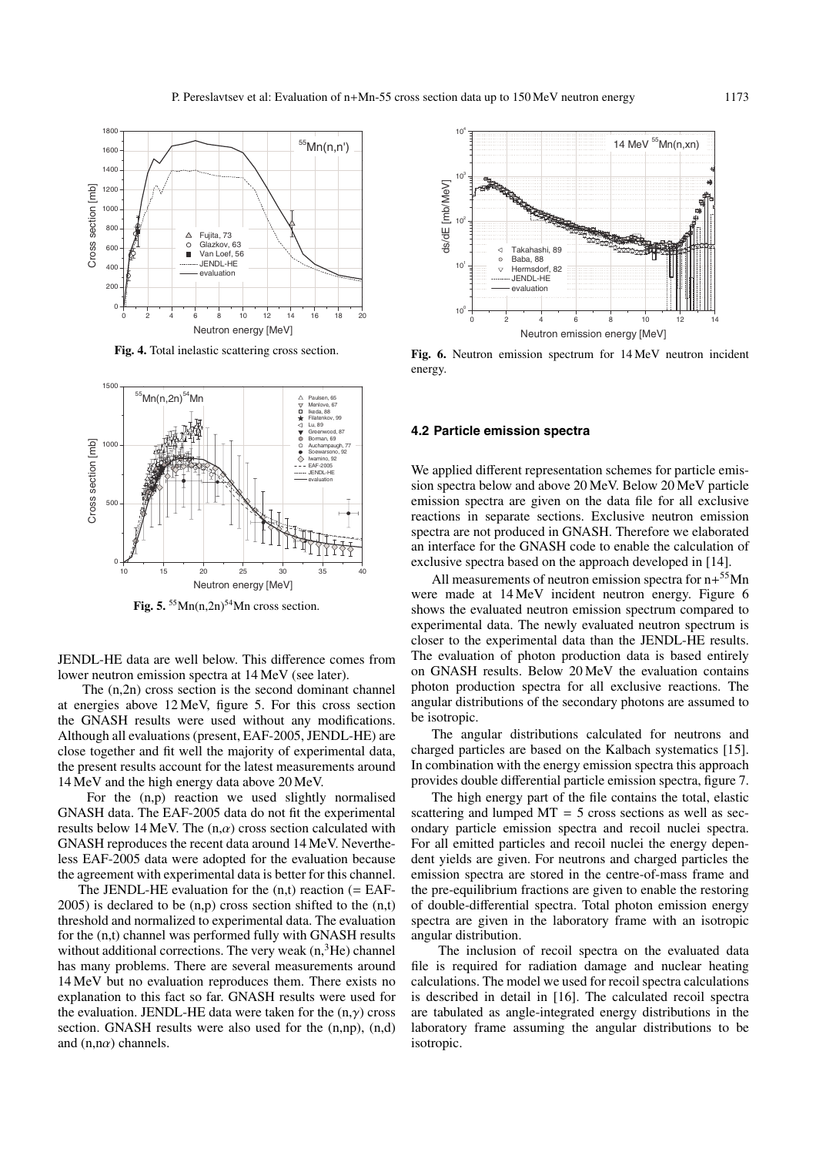

**Fig. 4.** Total inelastic scattering cross section.



Fig. 5.  $55Mn(n,2n)$ <sup>54</sup>Mn cross section.

JENDL-HE data are well below. This difference comes from lower neutron emission spectra at 14 MeV (see later).

The (n,2n) cross section is the second dominant channel at energies above 12 MeV, figure 5. For this cross section the GNASH results were used without any modifications. Although all evaluations (present, EAF-2005, JENDL-HE) are close together and fit well the majority of experimental data, the present results account for the latest measurements around 14 MeV and the high energy data above 20 MeV.

For the (n,p) reaction we used slightly normalised GNASH data. The EAF-2005 data do not fit the experimental results below 14 MeV. The  $(n, \alpha)$  cross section calculated with GNASH reproduces the recent data around 14 MeV. Nevertheless EAF-2005 data were adopted for the evaluation because the agreement with experimental data is better for this channel.

The JENDL-HE evaluation for the  $(n,t)$  reaction  $(= EAF - E)$  $2005$ ) is declared to be  $(n,p)$  cross section shifted to the  $(n,t)$ threshold and normalized to experimental data. The evaluation for the (n,t) channel was performed fully with GNASH results without additional corrections. The very weak  $(n,{}^{3}He)$  channel has many problems. There are several measurements around 14 MeV but no evaluation reproduces them. There exists no explanation to this fact so far. GNASH results were used for the evaluation. JENDL-HE data were taken for the  $(n, \gamma)$  cross section. GNASH results were also used for the (n,np), (n,d) and  $(n, n\alpha)$  channels.



**Fig. 6.** Neutron emission spectrum for 14 MeV neutron incident energy.

#### **4.2 Particle emission spectra**

We applied different representation schemes for particle emission spectra below and above 20 MeV. Below 20 MeV particle emission spectra are given on the data file for all exclusive reactions in separate sections. Exclusive neutron emission spectra are not produced in GNASH. Therefore we elaborated an interface for the GNASH code to enable the calculation of exclusive spectra based on the approach developed in [14].

All measurements of neutron emission spectra for  $n+55$ Mn were made at 14 MeV incident neutron energy. Figure 6 shows the evaluated neutron emission spectrum compared to experimental data. The newly evaluated neutron spectrum is closer to the experimental data than the JENDL-HE results. The evaluation of photon production data is based entirely on GNASH results. Below 20 MeV the evaluation contains photon production spectra for all exclusive reactions. The angular distributions of the secondary photons are assumed to be isotropic.

The angular distributions calculated for neutrons and charged particles are based on the Kalbach systematics [15]. In combination with the energy emission spectra this approach provides double differential particle emission spectra, figure 7.

The high energy part of the file contains the total, elastic scattering and lumped  $MT = 5$  cross sections as well as secondary particle emission spectra and recoil nuclei spectra. For all emitted particles and recoil nuclei the energy dependent yields are given. For neutrons and charged particles the emission spectra are stored in the centre-of-mass frame and the pre-equilibrium fractions are given to enable the restoring of double-differential spectra. Total photon emission energy spectra are given in the laboratory frame with an isotropic angular distribution.

The inclusion of recoil spectra on the evaluated data file is required for radiation damage and nuclear heating calculations. The model we used for recoil spectra calculations is described in detail in [16]. The calculated recoil spectra are tabulated as angle-integrated energy distributions in the laboratory frame assuming the angular distributions to be isotropic.